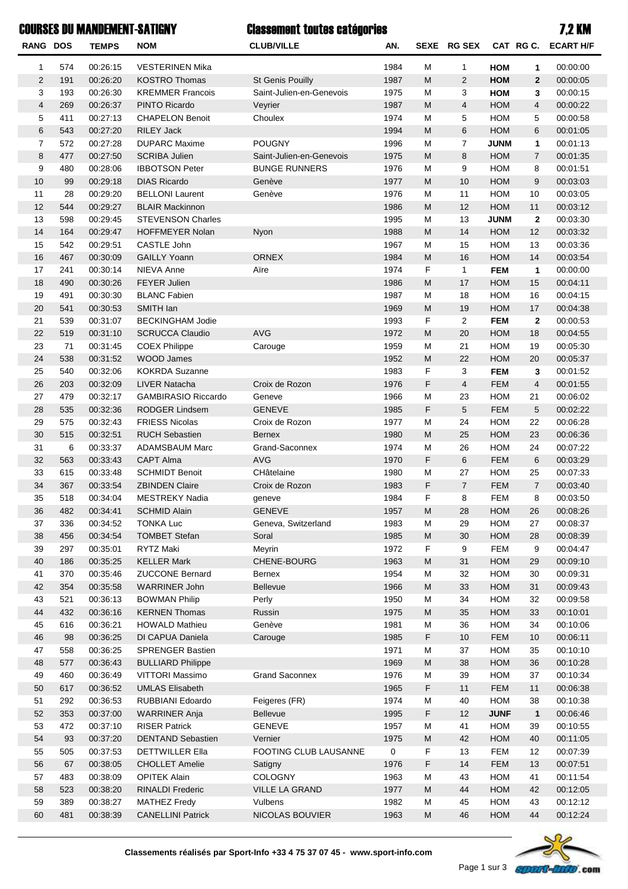## Classement toutes catégories COURSES DU MANDEMENT-SATIGNY 7,2 KM

| <b>RANG DOS</b> |            | <b>TEMPS</b>         | <b>NOM</b>                                  | <b>CLUB/VILLE</b>        | AN.          | <b>SEXE</b> | <b>RG SEX</b>  |                          |                | CAT RG C. ECART H/F  |
|-----------------|------------|----------------------|---------------------------------------------|--------------------------|--------------|-------------|----------------|--------------------------|----------------|----------------------|
| 1               | 574        | 00:26:15             | <b>VESTERINEN Mika</b>                      |                          | 1984         | М           | 1              | <b>HOM</b>               | 1              | 00:00:00             |
| $\overline{2}$  | 191        | 00:26:20             | <b>KOSTRO Thomas</b>                        | St Genis Pouilly         | 1987         | M           | $\overline{2}$ | <b>HOM</b>               | $\mathbf{2}$   | 00:00:05             |
| 3               | 193        | 00:26:30             | <b>KREMMER Francois</b>                     | Saint-Julien-en-Genevois | 1975         | M           | 3              | <b>HOM</b>               | 3              | 00:00:15             |
| $\overline{4}$  | 269        | 00:26:37             | PINTO Ricardo                               | Veyrier                  | 1987         | M           | $\overline{4}$ | <b>HOM</b>               | 4              | 00:00:22             |
| 5               | 411        | 00:27:13             | <b>CHAPELON Benoit</b>                      | Choulex                  | 1974         | M           | 5              | <b>HOM</b>               | 5              | 00:00:58             |
| 6               | 543        | 00:27:20             | <b>RILEY Jack</b>                           |                          | 1994         | M           | 6              | <b>HOM</b>               | 6              | 00:01:05             |
| $\overline{7}$  | 572        | 00:27:28             | <b>DUPARC Maxime</b>                        | <b>POUGNY</b>            | 1996         | M           | 7              | <b>JUNM</b>              | 1              | 00:01:13             |
| 8               | 477        | 00:27:50             | <b>SCRIBA Julien</b>                        | Saint-Julien-en-Genevois | 1975         | M           | 8              | <b>HOM</b>               | $\overline{7}$ | 00:01:35             |
| 9               | 480        | 00:28:06             | <b>IBBOTSON Peter</b>                       | <b>BUNGE RUNNERS</b>     | 1976         | M           | 9              | <b>HOM</b>               | 8              | 00:01:51             |
| 10              | 99         | 00:29:18             | <b>DIAS Ricardo</b>                         | Genève                   | 1977         | M           | 10             | <b>HOM</b>               | 9              | 00:03:03             |
| 11              | 28         | 00:29:20             | <b>BELLONI Laurent</b>                      | Genève                   | 1976         | M           | 11             | <b>HOM</b>               | 10             | 00:03:05             |
| 12              | 544        | 00:29:27             | <b>BLAIR Mackinnon</b>                      |                          | 1986         | M           | 12             | <b>HOM</b>               | 11             | 00:03:12             |
| 13              | 598        | 00:29:45             | <b>STEVENSON Charles</b>                    |                          | 1995         | M           | 13             | <b>JUNM</b>              | $\mathbf{2}$   | 00:03:30             |
| 14              | 164        | 00:29:47             | <b>HOFFMEYER Nolan</b>                      | Nyon                     | 1988         | M           | 14             | <b>HOM</b>               | 12             | 00:03:32             |
| 15              | 542        | 00:29:51             | CASTLE John                                 |                          | 1967         | M           | 15             | <b>HOM</b>               | 13             | 00:03:36             |
| 16              | 467        | 00:30:09             | <b>GAILLY Yoann</b>                         | <b>ORNEX</b>             | 1984         | M           | 16             | <b>HOM</b>               | 14             | 00:03:54             |
| 17              | 241        | 00:30:14             | NIEVA Anne                                  | Aïre                     | 1974         | F           | $\mathbf{1}$   | <b>FEM</b>               | 1              | 00:00:00             |
| 18              | 490        | 00:30:26             | <b>FEYER Julien</b>                         |                          | 1986         | M           | 17             | <b>HOM</b>               | 15             | 00:04:11             |
| 19              | 491        | 00:30:30             | <b>BLANC Fabien</b>                         |                          | 1987         | M           | 18             | <b>HOM</b>               | 16             | 00:04:15             |
| 20              | 541        | 00:30:53             | SMITH Ian                                   |                          | 1969         | M           | 19             | <b>HOM</b>               | 17             | 00:04:38             |
| 21              | 539        | 00:31:07             | <b>BECKINGHAM Jodie</b>                     |                          | 1993         | F           | $\mathbf{2}$   | <b>FEM</b>               | $\mathbf{2}$   | 00:00:53             |
| 22              | 519        | 00:31:10             | <b>SCRUCCA Claudio</b>                      | <b>AVG</b>               | 1972         | M           | 20             | <b>HOM</b>               | 18             | 00:04:55             |
| 23              | 71         | 00:31:45             | <b>COEX Philippe</b>                        | Carouge                  | 1959         | M           | 21             | <b>HOM</b>               | 19             | 00:05:30             |
| 24              | 538        | 00:31:52             | <b>WOOD James</b>                           |                          | 1952         | M           | 22             | <b>HOM</b>               | 20             | 00:05:37             |
| 25              | 540        | 00:32:06             | <b>KOKRDA Suzanne</b>                       |                          | 1983         | F           | 3              | <b>FEM</b>               | 3              | 00:01:52             |
| 26              | 203        | 00:32:09             | <b>LIVER Natacha</b>                        | Croix de Rozon           | 1976         | F           | $\overline{4}$ | <b>FEM</b>               | $\overline{4}$ | 00:01:55             |
| 27              | 479        | 00:32:17             | <b>GAMBIRASIO Riccardo</b>                  | Geneve                   | 1966         | M           | 23             | <b>HOM</b>               | 21             | 00:06:02             |
| 28              | 535        | 00:32:36             | <b>RODGER Lindsem</b>                       | <b>GENEVE</b>            | 1985         | F           | 5              | <b>FEM</b>               | 5              | 00:02:22             |
| 29              | 575        | 00:32:43             | <b>FRIESS Nicolas</b>                       | Croix de Rozon           | 1977         | M           | 24             | <b>HOM</b>               | 22             | 00:06:28             |
| 30              | 515        | 00:32:51             | <b>RUCH Sebastien</b>                       | Bernex                   | 1980         | M           | 25             | <b>HOM</b>               | 23             | 00:06:36             |
| 31              | 6          | 00:33:37             | <b>ADAMSBAUM Marc</b>                       | Grand-Saconnex           | 1974         | М           | 26             | <b>HOM</b>               | 24             | 00:07:22             |
| 32              | 563        | 00:33:43             | <b>CAPT Alma</b>                            | <b>AVG</b>               | 1970         | F           | 6              | <b>FEM</b>               | 6              | 00:03:29             |
| 33              | 615        | 00:33:48             | <b>SCHMIDT Benoit</b>                       | CHâtelaine               | 1980         | М           | 27             | <b>HOM</b>               | 25             | 00:07:33             |
| 34              | 367        | 00:33:54             | <b>ZBINDEN Claire</b>                       | Croix de Rozon           | 1983         | F           | $\overline{7}$ | <b>FEM</b>               | $\overline{7}$ | 00:03:40             |
| 35              | 518        | 00:34:04             | <b>MESTREKY Nadia</b>                       | geneve                   | 1984         | F           | 8              | <b>FEM</b>               | 8              | 00:03:50             |
| 36              | 482        | 00:34:41             | <b>SCHMID Alain</b>                         | <b>GENEVE</b>            | 1957         | M           | 28             | HOM                      | 26             | 00:08:26             |
| 37              | 336        | 00:34:52             | <b>TONKA Luc</b>                            | Geneva, Switzerland      | 1983         | М           | 29             | <b>HOM</b>               | 27             | 00:08:37             |
| 38              | 456        | 00:34:54             | <b>TOMBET Stefan</b>                        | Soral                    | 1985         | M           | 30             | <b>HOM</b>               | 28             | 00:08:39             |
| 39              | 297        | 00:35:01             | RYTZ Maki                                   | Meyrin                   | 1972         | F           | 9              | <b>FEM</b>               | 9              | 00:04:47             |
| 40              | 186        | 00:35:25             | <b>KELLER Mark</b>                          | CHENE-BOURG              | 1963         | ${\sf M}$   | 31             | <b>HOM</b>               | 29             | 00:09:10             |
| 41              | 370        | 00:35:46             | ZUCCONE Bernard                             | <b>Bernex</b>            | 1954         | М           | 32             | <b>HOM</b>               | 30             | 00:09:31             |
| 42              | 354        | 00:35:58             | <b>WARRINER John</b>                        | <b>Bellevue</b>          | 1966         | M           | 33             | <b>HOM</b>               | 31             | 00:09:43             |
| 43              | 521        | 00:36:13             | <b>BOWMAN Philip</b>                        | Perly                    | 1950         | M           | 34             | <b>HOM</b>               | 32             | 00:09:58             |
| 44              | 432        | 00:36:16             | <b>KERNEN Thomas</b>                        | Russin                   | 1975         | M           | 35             | <b>HOM</b>               | 33             | 00:10:01             |
| 45              | 616        | 00:36:21             | <b>HOWALD Mathieu</b>                       | Genève                   | 1981         | М           | 36             | <b>HOM</b>               | 34             | 00:10:06             |
| 46              | 98         | 00:36:25             | DI CAPUA Daniela                            | Carouge                  | 1985         | F           | 10             | <b>FEM</b>               | 10             | 00:06:11             |
| 47              | 558        | 00:36:25             | <b>SPRENGER Bastien</b>                     |                          | 1971         | M           | 37             | <b>HOM</b>               | 35             | 00:10:10             |
| 48<br>49        | 577<br>460 | 00:36:43<br>00:36:49 | <b>BULLIARD Philippe</b><br>VITTORI Massimo | <b>Grand Saconnex</b>    | 1969<br>1976 | M           | 38<br>39       | <b>HOM</b><br><b>HOM</b> | 36<br>37       | 00:10:28<br>00:10:34 |
| 50              | 617        | 00:36:52             | <b>UMLAS Elisabeth</b>                      |                          | 1965         | М<br>F      | 11             | <b>FEM</b>               | 11             | 00:06:38             |
| 51              | 292        | 00:36:53             | RUBBIANI Edoardo                            | Feigeres (FR)            | 1974         | М           | 40             | <b>HOM</b>               | 38             | 00:10:38             |
| 52              | 353        | 00:37:00             | <b>WARRINER Anja</b>                        | Bellevue                 | 1995         | F           | 12             | <b>JUNF</b>              | $\mathbf{1}$   | 00:06:46             |
| 53              | 472        | 00:37:10             | <b>RISER Patrick</b>                        | <b>GENEVE</b>            | 1957         | M           | 41             | <b>HOM</b>               | 39             | 00:10:55             |
| 54              | 93         | 00:37:20             | <b>DENTAND Sebastien</b>                    | Vernier                  | 1975         | M           | 42             | <b>HOM</b>               | 40             | 00:11:05             |
| 55              | 505        | 00:37:53             | <b>DETTWILLER Ella</b>                      | FOOTING CLUB LAUSANNE    | 0            | F           | 13             | <b>FEM</b>               | 12             | 00:07:39             |
| 56              | 67         | 00:38:05             | <b>CHOLLET Amelie</b>                       | Satigny                  | 1976         | F           | 14             | <b>FEM</b>               | 13             | 00:07:51             |
| 57              | 483        | 00:38:09             | <b>OPITEK Alain</b>                         | <b>COLOGNY</b>           | 1963         | M           | 43             | <b>HOM</b>               | 41             | 00:11:54             |
| 58              | 523        | 00:38:20             | <b>RINALDI Frederic</b>                     | <b>VILLE LA GRAND</b>    | 1977         | M           | 44             | <b>HOM</b>               | 42             | 00:12:05             |
| 59              | 389        | 00:38:27             | <b>MATHEZ Fredy</b>                         | Vulbens                  | 1982         | M           | 45             | <b>HOM</b>               | 43             | 00:12:12             |
| 60              | 481        | 00:38:39             | <b>CANELLINI Patrick</b>                    | NICOLAS BOUVIER          | 1963         | M           | 46             | <b>HOM</b>               | 44             | 00:12:24             |
|                 |            |                      |                                             |                          |              |             |                |                          |                |                      |

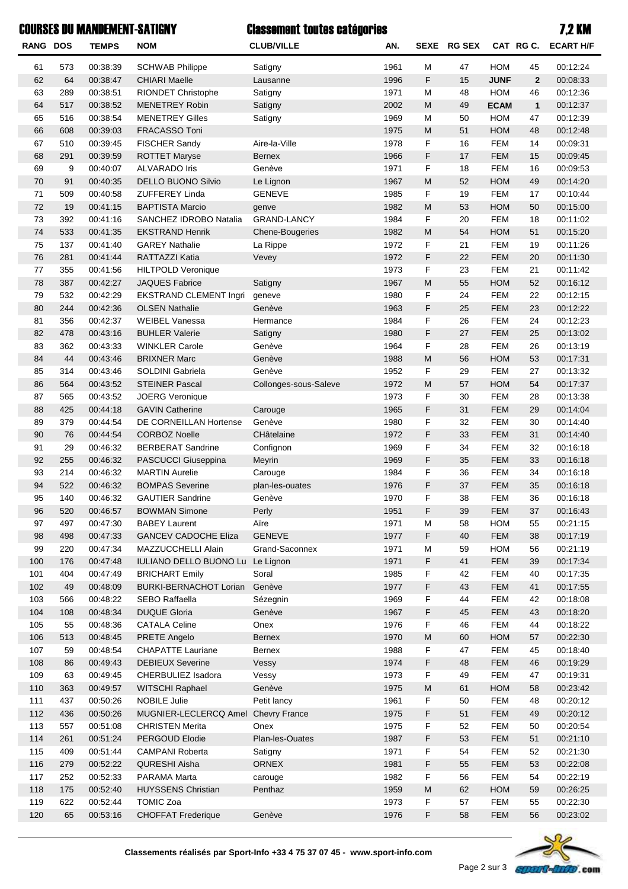|            |            | <b>COURSES DU MANDEMENT-SATIGNY</b> |                                              | <b>Classement toutes catégories</b> |              |           |             |                          |                | 7.2 KM               |
|------------|------------|-------------------------------------|----------------------------------------------|-------------------------------------|--------------|-----------|-------------|--------------------------|----------------|----------------------|
| RANG DOS   |            | <b>TEMPS</b>                        | <b>NOM</b>                                   | <b>CLUB/VILLE</b>                   | AN.          |           | SEXE RG SEX |                          | CAT RGC.       | <b>ECART H/F</b>     |
| 61         | 573        | 00:38:39                            | <b>SCHWAB Philippe</b>                       | Satigny                             | 1961         | M         | 47          | <b>HOM</b>               | 45             | 00:12:24             |
| 62         | 64         | 00:38:47                            | <b>CHIARI Maelle</b>                         | Lausanne                            | 1996         | F         | 15          | <b>JUNF</b>              | $\overline{2}$ | 00:08:33             |
| 63         | 289        | 00:38:51                            | <b>RIONDET Christophe</b>                    | Satigny                             | 1971         | M         | 48          | <b>HOM</b>               | 46             | 00:12:36             |
| 64         | 517        | 00:38:52                            | <b>MENETREY Robin</b>                        | Satigny                             | 2002         | M         | 49          | <b>ECAM</b>              | $\mathbf{1}$   | 00:12:37             |
| 65         | 516        | 00:38:54                            | <b>MENETREY Gilles</b>                       | Satigny                             | 1969         | M         | 50          | <b>HOM</b>               | 47             | 00:12:39             |
| 66         | 608        | 00:39:03                            | FRACASSO Toni                                |                                     | 1975         | M         | 51          | <b>HOM</b>               | 48             | 00:12:48             |
| 67         | 510        | 00:39:45                            | FISCHER Sandy                                | Aire-la-Ville                       | 1978         | F         | 16          | <b>FEM</b>               | 14             | 00:09:31             |
| 68         | 291        | 00:39:59                            | <b>ROTTET Maryse</b>                         | <b>Bernex</b>                       | 1966         | F         | 17          | <b>FEM</b>               | 15             | 00:09:45             |
| 69         | 9          | 00:40:07                            | <b>ALVARADO Iris</b>                         | Genève                              | 1971         | F         | 18          | <b>FEM</b>               | 16             | 00:09:53             |
| 70         | 91         | 00:40:35                            | DELLO BUONO Silvio                           | Le Lignon                           | 1967         | M         | 52          | <b>HOM</b>               | 49             | 00:14:20             |
| 71         | 509        | 00:40:58                            | ZUFFEREY Linda                               | <b>GENEVE</b>                       | 1985         | F         | 19          | <b>FEM</b>               | 17             | 00:10:44             |
| 72         | 19         | 00:41:15                            | <b>BAPTISTA Marcio</b>                       | genve                               | 1982         | M         | 53          | <b>HOM</b>               | 50             | 00:15:00             |
| 73         | 392        | 00:41:16                            | SANCHEZ IDROBO Natalia                       | <b>GRAND-LANCY</b>                  | 1984         | F         | 20          | <b>FEM</b>               | 18             | 00:11:02             |
| 74         | 533        | 00:41:35                            | <b>EKSTRAND Henrik</b>                       | <b>Chene-Bougeries</b>              | 1982         | M         | 54          | <b>HOM</b>               | 51             | 00:15:20             |
| 75         | 137        | 00:41:40                            | <b>GAREY Nathalie</b>                        | La Rippe                            | 1972         | F         | 21          | <b>FEM</b>               | 19             | 00:11:26             |
| 76         | 281        | 00:41:44                            | RATTAZZI Katia                               | Vevey                               | 1972         | F         | 22          | <b>FEM</b>               | 20             | 00:11:30             |
| 77         | 355        | 00:41:56                            | <b>HILTPOLD Veronique</b>                    |                                     | 1973         | F         | 23          | <b>FEM</b>               | 21             | 00:11:42             |
| 78         | 387        | 00:42:27                            | <b>JAQUES Fabrice</b>                        | Satigny                             | 1967         | M         | 55          | <b>HOM</b>               | 52             | 00:16:12             |
| 79         | 532        | 00:42:29                            | <b>EKSTRAND CLEMENT Ingri</b>                | geneve                              | 1980         | F         | 24          | <b>FEM</b>               | 22             | 00:12:15             |
| 80         | 244        | 00:42:36                            | <b>OLSEN Nathalie</b>                        | Genève                              | 1963         | F         | 25          | <b>FEM</b>               | 23             | 00:12:22             |
| 81         | 356        | 00:42:37                            | <b>WEIBEL Vanessa</b>                        | Hermance                            | 1984         | F         | 26          | <b>FEM</b>               | 24             | 00:12:23             |
| 82         | 478        | 00:43:16                            | <b>BUHLER Valerie</b>                        | Satigny                             | 1980         | F         | 27          | <b>FEM</b>               | 25             | 00:13:02             |
| 83         | 362        | 00:43:33                            | <b>WINKLER Carole</b>                        | Genève                              | 1964         | F         | 28          | <b>FEM</b>               | 26             | 00:13:19             |
| 84         | 44         | 00:43:46                            | <b>BRIXNER Marc</b>                          | Genève                              | 1988         | M         | 56          | <b>HOM</b>               | 53             | 00:17:31             |
| 85         | 314        | 00:43:46                            | SOLDINI Gabriela                             | Genève                              | 1952         | F         | 29          | <b>FEM</b>               | 27             | 00:13:32             |
| 86         | 564        | 00:43:52                            | <b>STEINER Pascal</b>                        | Collonges-sous-Saleve               | 1972         | M         | 57          | <b>HOM</b>               | 54             | 00:17:37             |
| 87         | 565        | 00:43:52                            | <b>JOERG Veronique</b>                       |                                     | 1973         | F         | 30          | <b>FEM</b>               | 28             | 00:13:38             |
| 88         | 425        | 00:44:18                            | <b>GAVIN Catherine</b>                       | Carouge                             | 1965         | F         | 31          | <b>FEM</b>               | 29             | 00:14:04             |
| 89         | 379        | 00:44:54                            | DE CORNEILLAN Hortense                       | Genève                              | 1980         | F         | 32          | <b>FEM</b>               | 30             | 00:14:40             |
| 90         | 76         | 00:44:54                            | <b>CORBOZ Noelle</b>                         | CHâtelaine                          | 1972         | F         | 33          | <b>FEM</b>               | 31             | 00:14:40             |
| 91         | 29         | 00:46:32                            | <b>BERBERAT Sandrine</b>                     | Confignon                           | 1969         | F         | 34          | <b>FEM</b>               | 32             | 00:16:18             |
| 92         | 255        | 00:46:32                            | PASCUCCI Giuseppina                          | Meyrin                              | 1969         | F         | 35          | <b>FEM</b>               | 33             | 00:16:18             |
| 93         | 214        | 00:46:32                            | <b>MARTIN Aurelie</b>                        | Carouge                             | 1984         | F         | 36          | <b>FEM</b>               | 34             | 00:16:18             |
| 94         | 522        | 00:46:32                            | <b>BOMPAS Severine</b>                       | plan-les-ouates                     | 1976         | F         | 37          | <b>FEM</b>               | 35             | 00:16:18             |
| 95         | 140        | 00:46:32                            | <b>GAUTIER Sandrine</b>                      | Genève                              | 1970         | F         | 38          | FEM                      | 36             | 00:16:18             |
| 96         | 520        | 00:46:57                            | <b>BOWMAN Simone</b>                         | Perly                               | 1951         | F         | 39          | <b>FEM</b>               | 37             | 00:16:43             |
| 97         | 497        | 00:47:30                            | <b>BABEY Laurent</b>                         | Aire                                | 1971         | M         | 58          | <b>HOM</b>               | 55             | 00:21:15             |
| 98         | 498        | 00:47:33                            | <b>GANCEV CADOCHE Eliza</b>                  | <b>GENEVE</b>                       | 1977         | F         | 40          | <b>FEM</b>               | 38             | 00:17:19             |
| 99         | 220        | 00:47:34                            | MAZZUCCHELLI Alain                           | Grand-Saconnex                      | 1971         | M         | 59          | <b>HOM</b>               | 56             | 00:21:19             |
| 100        | 176        | 00:47:48                            | IULIANO DELLO BUONO Lu Le Lignon             |                                     | 1971         | F         | 41          | <b>FEM</b>               | 39             | 00:17:34             |
| 101        | 404        | 00:47:49                            | <b>BRICHART Emily</b>                        | Soral                               | 1985         | F         | 42          | <b>FEM</b>               | 40             | 00:17:35             |
| 102        | 49         | 00:48:09                            | <b>BURKI-BERNACHOT Lorian</b>                | Genève                              | 1977         | F         | 43          | <b>FEM</b>               | 41             | 00:17:55             |
| 103        | 566        | 00:48:22                            | SEBO Raffaella                               | Sézegnin                            | 1969         | F         | 44          | <b>FEM</b>               | 42             | 00:18:08             |
| 104        | 108        | 00:48:34                            | <b>DUQUE Gloria</b>                          | Genève                              | 1967         | F         | 45          | <b>FEM</b>               | 43             | 00:18:20             |
| 105        | 55         | 00:48:36                            | <b>CATALA Celine</b>                         | Onex                                | 1976         | F         | 46          | <b>FEM</b>               | 44             | 00:18:22             |
| 106        | 513        | 00:48:45                            | PRETE Angelo                                 | <b>Bernex</b>                       | 1970         | M         | 60          | HOM                      | 57             | 00:22:30             |
| 107        | 59         | 00:48:54                            | <b>CHAPATTE Lauriane</b>                     | Bernex                              | 1988         | F         | 47          | <b>FEM</b>               | 45             | 00:18:40             |
| 108        | 86         | 00:49:43                            | <b>DEBIEUX Severine</b>                      | Vessy                               | 1974         | F         | 48          | <b>FEM</b>               | 46             | 00:19:29             |
| 109        | 63         | 00:49:45                            | CHERBULIEZ Isadora                           | Vessy                               | 1973         | F         | 49          | <b>FEM</b>               | 47             | 00:19:31             |
| 110        | 363        | 00:49:57                            | WITSCHI Raphael                              | Genève                              | 1975         | M         | 61          | HOM                      | 58             | 00:23:42             |
|            |            |                                     |                                              |                                     |              |           |             |                          |                |                      |
| 111        | 437<br>436 | 00:50:26                            | <b>NOBILE Julie</b><br>MUGNIER-LECLERCQ Amel | Petit lancy<br><b>Chevry France</b> | 1961<br>1975 | F<br>F    | 50<br>51    | <b>FEM</b><br><b>FEM</b> | 48<br>49       | 00:20:12<br>00:20:12 |
| 112<br>113 | 557        | 00:50:26                            | <b>CHRISTEN Merita</b>                       | Onex                                | 1975         | F         | 52          | <b>FEM</b>               | 50             | 00:20:54             |
|            |            | 00:51:08                            |                                              |                                     |              |           |             |                          |                |                      |
| 114        | 261        | 00:51:24                            | PERGOUD Elodie                               | Plan-les-Ouates                     | 1987         | F         | 53          | <b>FEM</b>               | 51             | 00:21:10             |
| 115        | 409        | 00:51:44                            | <b>CAMPANI Roberta</b>                       | Satigny                             | 1971         | F         | 54          | <b>FEM</b>               | 52             | 00:21:30             |
| 116        | 279        | 00:52:22                            | <b>QURESHI Aisha</b>                         | ORNEX                               | 1981         | F         | 55          | <b>FEM</b>               | 53             | 00:22:08             |
| 117        | 252        | 00:52:33                            | PARAMA Marta                                 | carouge                             | 1982         | F         | 56          | <b>FEM</b>               | 54             | 00:22:19             |
| 118        | 175        | 00:52:40                            | <b>HUYSSENS Christian</b>                    | Penthaz                             | 1959         | ${\sf M}$ | 62          | <b>HOM</b>               | 59             | 00:26:25             |



119 622 00:52:44 TOMIC Zoa 1973 F 57 FEM 55 00:22:30 120 65 00:53:16 CHOFFAT Frederique Genève 1976 F 58 FEM 56 00:23:02